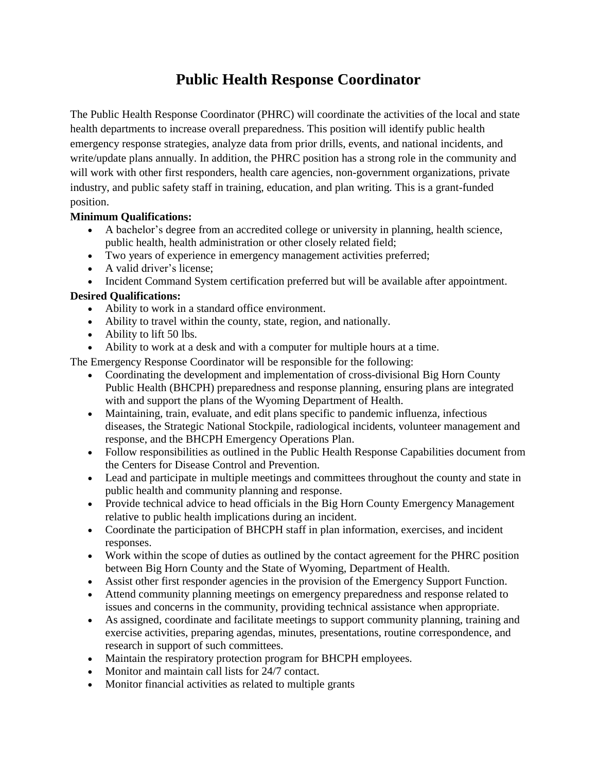## **Public Health Response Coordinator**

The Public Health Response Coordinator (PHRC) will coordinate the activities of the local and state health departments to increase overall preparedness. This position will identify public health emergency response strategies, analyze data from prior drills, events, and national incidents, and write/update plans annually. In addition, the PHRC position has a strong role in the community and will work with other first responders, health care agencies, non-government organizations, private industry, and public safety staff in training, education, and plan writing. This is a grant-funded position.

## **Minimum Qualifications:**

- A bachelor's degree from an accredited college or university in planning, health science, public health, health administration or other closely related field;
- Two years of experience in emergency management activities preferred;
- A valid driver's license:
- Incident Command System certification preferred but will be available after appointment.

## **Desired Qualifications:**

- Ability to work in a standard office environment.
- Ability to travel within the county, state, region, and nationally.
- Ability to lift 50 lbs.
- Ability to work at a desk and with a computer for multiple hours at a time.

The Emergency Response Coordinator will be responsible for the following:

- Coordinating the development and implementation of cross-divisional Big Horn County Public Health (BHCPH) preparedness and response planning, ensuring plans are integrated with and support the plans of the Wyoming Department of Health.
- Maintaining, train, evaluate, and edit plans specific to pandemic influenza, infectious diseases, the Strategic National Stockpile, radiological incidents, volunteer management and response, and the BHCPH Emergency Operations Plan.
- Follow responsibilities as outlined in the Public Health Response Capabilities document from the Centers for Disease Control and Prevention.
- Lead and participate in multiple meetings and committees throughout the county and state in public health and community planning and response.
- Provide technical advice to head officials in the Big Horn County Emergency Management relative to public health implications during an incident.
- Coordinate the participation of BHCPH staff in plan information, exercises, and incident responses.
- Work within the scope of duties as outlined by the contact agreement for the PHRC position between Big Horn County and the State of Wyoming, Department of Health.
- Assist other first responder agencies in the provision of the Emergency Support Function.
- Attend community planning meetings on emergency preparedness and response related to issues and concerns in the community, providing technical assistance when appropriate.
- As assigned, coordinate and facilitate meetings to support community planning, training and exercise activities, preparing agendas, minutes, presentations, routine correspondence, and research in support of such committees.
- Maintain the respiratory protection program for BHCPH employees.
- Monitor and maintain call lists for 24/7 contact.
- Monitor financial activities as related to multiple grants